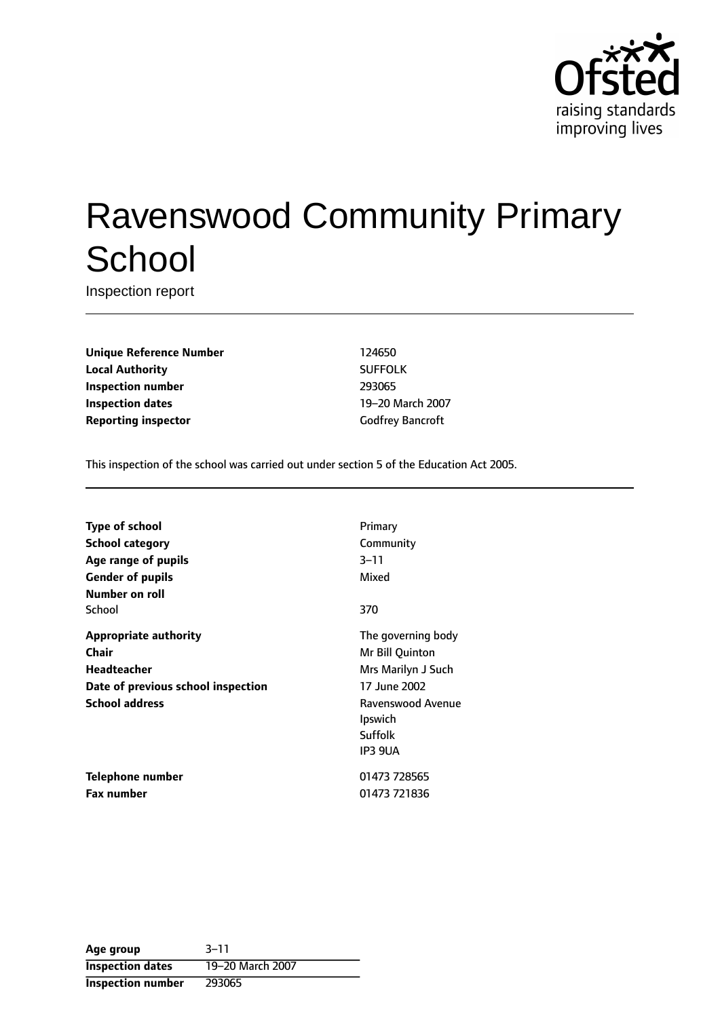

# Ravenswood Community Primary **School**

Inspection report

**Unique Reference Number** 124650 **Local Authority** SUFFOLK **Inspection number** 293065 **Inspection dates** 19-20 March 2007 **Reporting inspector** Godfrey Bancroft

This inspection of the school was carried out under section 5 of the Education Act 2005.

| <b>Type of school</b>                                                                                                      | Primary                                                                                                                                  |
|----------------------------------------------------------------------------------------------------------------------------|------------------------------------------------------------------------------------------------------------------------------------------|
| <b>School category</b>                                                                                                     | Community                                                                                                                                |
| Age range of pupils                                                                                                        | $3 - 11$                                                                                                                                 |
| <b>Gender of pupils</b>                                                                                                    | Mixed                                                                                                                                    |
| Number on roll<br>School                                                                                                   | 370                                                                                                                                      |
| <b>Appropriate authority</b><br>Chair<br><b>Headteacher</b><br>Date of previous school inspection<br><b>School address</b> | The governing body<br>Mr Bill Quinton<br>Mrs Marilyn J Such<br>17 June 2002<br>Ravenswood Avenue<br><b>Ipswich</b><br>Suffolk<br>IP3 9UA |
| Telephone number                                                                                                           | 01473 728565                                                                                                                             |
| <b>Fax number</b>                                                                                                          | 01473 721836                                                                                                                             |

| Age group                | $3 - 11$         |
|--------------------------|------------------|
| <b>Inspection dates</b>  | 19-20 March 2007 |
| <b>Inspection number</b> | 293065           |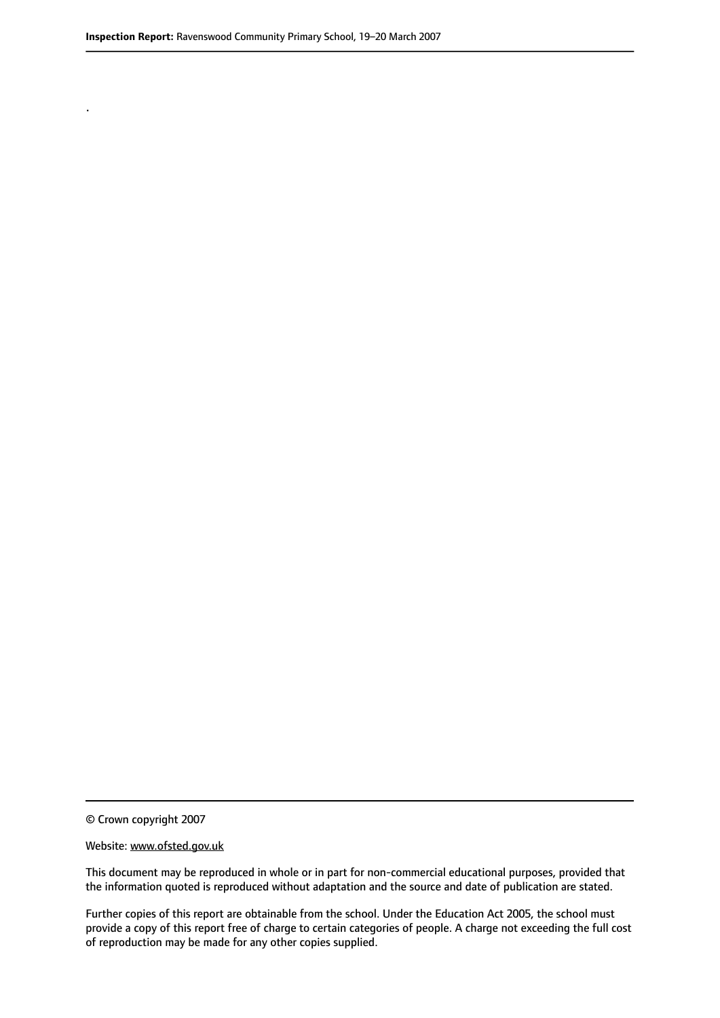.

© Crown copyright 2007

#### Website: www.ofsted.gov.uk

This document may be reproduced in whole or in part for non-commercial educational purposes, provided that the information quoted is reproduced without adaptation and the source and date of publication are stated.

Further copies of this report are obtainable from the school. Under the Education Act 2005, the school must provide a copy of this report free of charge to certain categories of people. A charge not exceeding the full cost of reproduction may be made for any other copies supplied.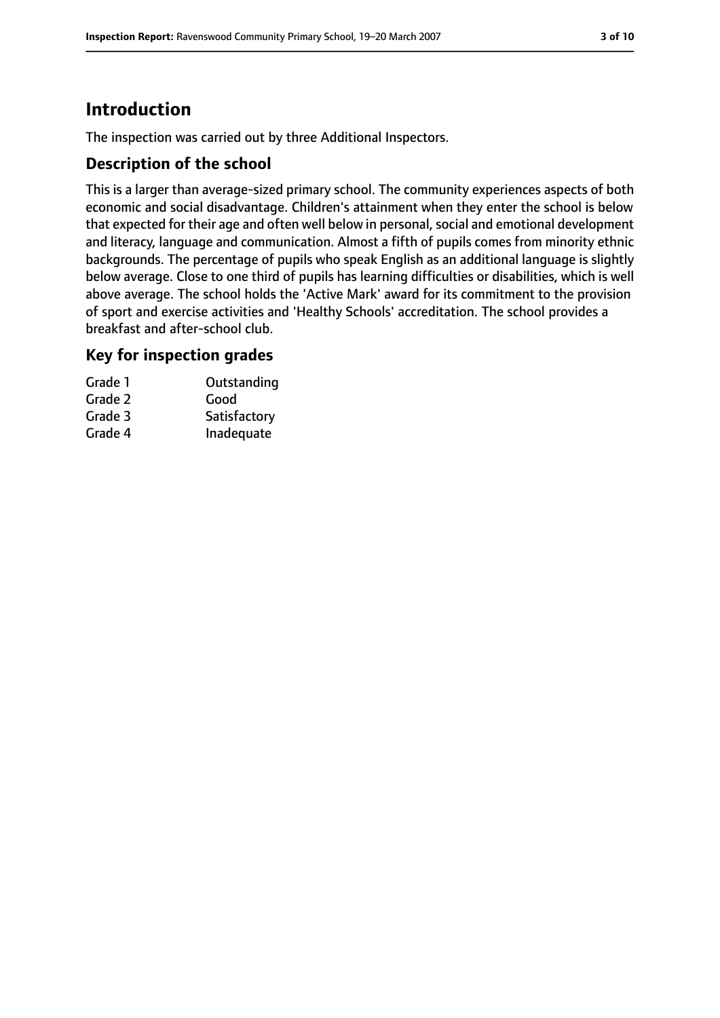# **Introduction**

The inspection was carried out by three Additional Inspectors.

## **Description of the school**

This is a larger than average-sized primary school. The community experiences aspects of both economic and social disadvantage. Children's attainment when they enter the school is below that expected for their age and often well below in personal, social and emotional development and literacy, language and communication. Almost a fifth of pupils comes from minority ethnic backgrounds. The percentage of pupils who speak English as an additional language is slightly below average. Close to one third of pupils has learning difficulties or disabilities, which is well above average. The school holds the 'Active Mark' award for its commitment to the provision of sport and exercise activities and 'Healthy Schools' accreditation. The school provides a breakfast and after-school club.

## **Key for inspection grades**

| Grade 1 | Outstanding  |
|---------|--------------|
| Grade 2 | Good         |
| Grade 3 | Satisfactory |
| Grade 4 | Inadequate   |
|         |              |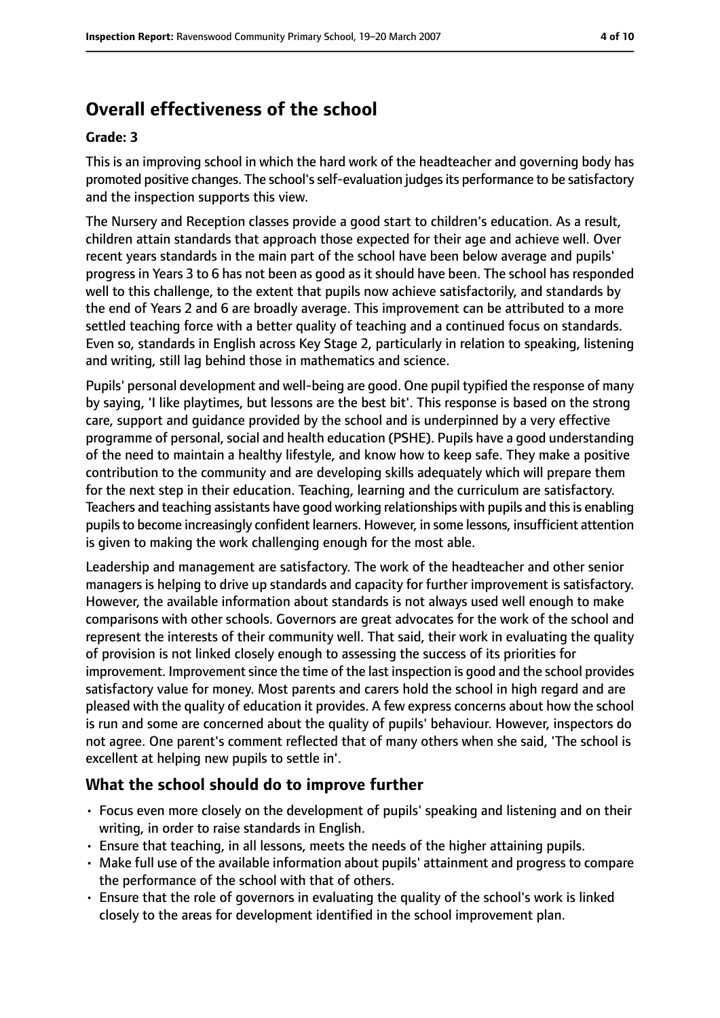# **Overall effectiveness of the school**

#### **Grade: 3**

This is an improving school in which the hard work of the headteacher and governing body has promoted positive changes. The school'sself-evaluation judgesits performance to be satisfactory and the inspection supports this view.

The Nursery and Reception classes provide a good start to children's education. As a result, children attain standards that approach those expected for their age and achieve well. Over recent years standards in the main part of the school have been below average and pupils' progress in Years 3 to 6 has not been as good as it should have been. The school has responded well to this challenge, to the extent that pupils now achieve satisfactorily, and standards by the end of Years 2 and 6 are broadly average. This improvement can be attributed to a more settled teaching force with a better quality of teaching and a continued focus on standards. Even so, standards in English across Key Stage 2, particularly in relation to speaking, listening and writing, still lag behind those in mathematics and science.

Pupils' personal development and well-being are good. One pupil typified the response of many by saying, 'I like playtimes, but lessons are the best bit'. This response is based on the strong care, support and guidance provided by the school and is underpinned by a very effective programme of personal, social and health education (PSHE). Pupils have a good understanding of the need to maintain a healthy lifestyle, and know how to keep safe. They make a positive contribution to the community and are developing skills adequately which will prepare them for the next step in their education. Teaching, learning and the curriculum are satisfactory. Teachers and teaching assistants have good working relationships with pupils and thisis enabling pupilsto become increasingly confident learners. However, in some lessons, insufficient attention is given to making the work challenging enough for the most able.

Leadership and management are satisfactory. The work of the headteacher and other senior managers is helping to drive up standards and capacity for further improvement is satisfactory. However, the available information about standards is not always used well enough to make comparisons with other schools. Governors are great advocates for the work of the school and represent the interests of their community well. That said, their work in evaluating the quality of provision is not linked closely enough to assessing the success of its priorities for improvement. Improvement since the time of the last inspection is good and the school provides satisfactory value for money. Most parents and carers hold the school in high regard and are pleased with the quality of education it provides. A few express concerns about how the school is run and some are concerned about the quality of pupils' behaviour. However, inspectors do not agree. One parent's comment reflected that of many others when she said, 'The school is excellent at helping new pupils to settle in'.

## **What the school should do to improve further**

- Focus even more closely on the development of pupils' speaking and listening and on their writing, in order to raise standards in English.
- Ensure that teaching, in all lessons, meets the needs of the higher attaining pupils.
- Make full use of the available information about pupils' attainment and progress to compare the performance of the school with that of others.
- Ensure that the role of governors in evaluating the quality of the school's work is linked closely to the areas for development identified in the school improvement plan.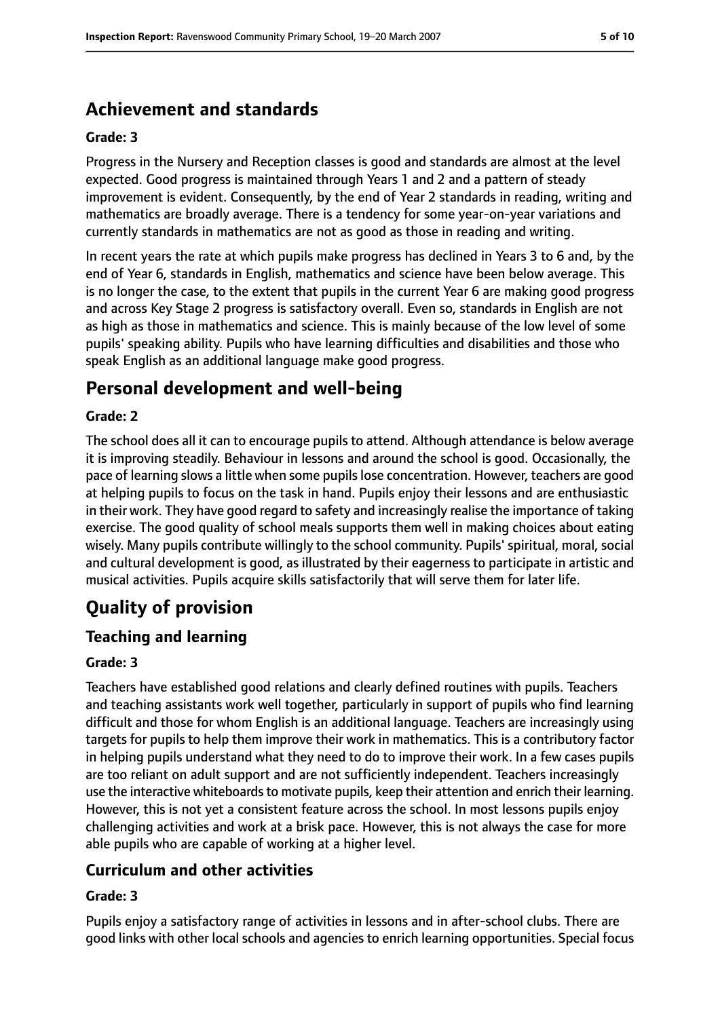# **Achievement and standards**

#### **Grade: 3**

Progress in the Nursery and Reception classes is good and standards are almost at the level expected. Good progress is maintained through Years 1 and 2 and a pattern of steady improvement is evident. Consequently, by the end of Year 2 standards in reading, writing and mathematics are broadly average. There is a tendency for some year-on-year variations and currently standards in mathematics are not as good as those in reading and writing.

In recent years the rate at which pupils make progress has declined in Years 3 to 6 and, by the end of Year 6, standards in English, mathematics and science have been below average. This is no longer the case, to the extent that pupils in the current Year 6 are making good progress and across Key Stage 2 progress is satisfactory overall. Even so, standards in English are not as high as those in mathematics and science. This is mainly because of the low level of some pupils' speaking ability. Pupils who have learning difficulties and disabilities and those who speak English as an additional language make good progress.

# **Personal development and well-being**

#### **Grade: 2**

The school does all it can to encourage pupils to attend. Although attendance is below average it is improving steadily. Behaviour in lessons and around the school is good. Occasionally, the pace of learning slows a little when some pupils lose concentration. However, teachers are good at helping pupils to focus on the task in hand. Pupils enjoy their lessons and are enthusiastic in their work. They have good regard to safety and increasingly realise the importance of taking exercise. The good quality of school meals supports them well in making choices about eating wisely. Many pupils contribute willingly to the school community. Pupils' spiritual, moral, social and cultural development is good, as illustrated by their eagerness to participate in artistic and musical activities. Pupils acquire skills satisfactorily that will serve them for later life.

# **Quality of provision**

## **Teaching and learning**

#### **Grade: 3**

Teachers have established good relations and clearly defined routines with pupils. Teachers and teaching assistants work well together, particularly in support of pupils who find learning difficult and those for whom English is an additional language. Teachers are increasingly using targets for pupils to help them improve their work in mathematics. This is a contributory factor in helping pupils understand what they need to do to improve their work. In a few cases pupils are too reliant on adult support and are not sufficiently independent. Teachers increasingly use the interactive whiteboards to motivate pupils, keep their attention and enrich their learning. However, this is not yet a consistent feature across the school. In most lessons pupils enjoy challenging activities and work at a brisk pace. However, this is not always the case for more able pupils who are capable of working at a higher level.

## **Curriculum and other activities**

#### **Grade: 3**

Pupils enjoy a satisfactory range of activities in lessons and in after-school clubs. There are good links with other local schools and agencies to enrich learning opportunities. Special focus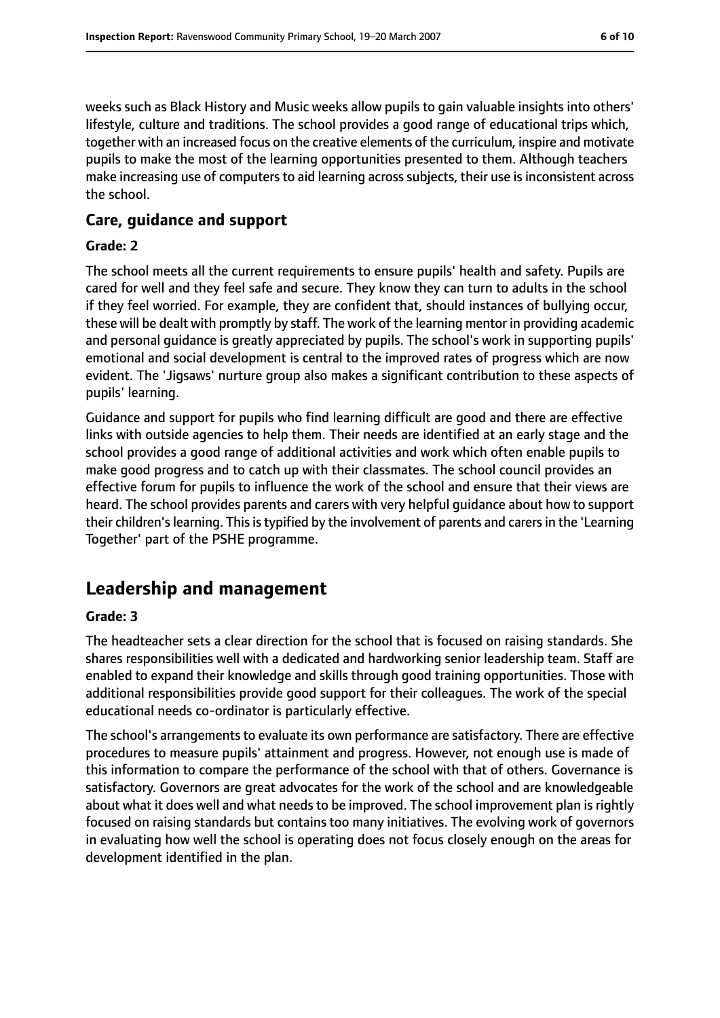weeks such as Black History and Music weeks allow pupils to gain valuable insights into others' lifestyle, culture and traditions. The school provides a good range of educational trips which, together with an increased focus on the creative elements of the curriculum, inspire and motivate pupils to make the most of the learning opportunities presented to them. Although teachers make increasing use of computers to aid learning across subjects, their use is inconsistent across the school.

### **Care, guidance and support**

#### **Grade: 2**

The school meets all the current requirements to ensure pupils' health and safety. Pupils are cared for well and they feel safe and secure. They know they can turn to adults in the school if they feel worried. For example, they are confident that, should instances of bullying occur, these will be dealt with promptly by staff. The work of the learning mentor in providing academic and personal guidance is greatly appreciated by pupils. The school's work in supporting pupils' emotional and social development is central to the improved rates of progress which are now evident. The 'Jigsaws' nurture group also makes a significant contribution to these aspects of pupils' learning.

Guidance and support for pupils who find learning difficult are good and there are effective links with outside agencies to help them. Their needs are identified at an early stage and the school provides a good range of additional activities and work which often enable pupils to make good progress and to catch up with their classmates. The school council provides an effective forum for pupils to influence the work of the school and ensure that their views are heard. The school provides parents and carers with very helpful guidance about how to support their children's learning. This is typified by the involvement of parents and carers in the 'Learning Together' part of the PSHE programme.

# **Leadership and management**

#### **Grade: 3**

The headteacher sets a clear direction for the school that is focused on raising standards. She shares responsibilities well with a dedicated and hardworking senior leadership team. Staff are enabled to expand their knowledge and skills through good training opportunities. Those with additional responsibilities provide good support for their colleagues. The work of the special educational needs co-ordinator is particularly effective.

The school's arrangements to evaluate its own performance are satisfactory. There are effective procedures to measure pupils' attainment and progress. However, not enough use is made of this information to compare the performance of the school with that of others. Governance is satisfactory. Governors are great advocates for the work of the school and are knowledgeable about what it does well and what needs to be improved. The school improvement plan is rightly focused on raising standards but contains too many initiatives. The evolving work of governors in evaluating how well the school is operating does not focus closely enough on the areas for development identified in the plan.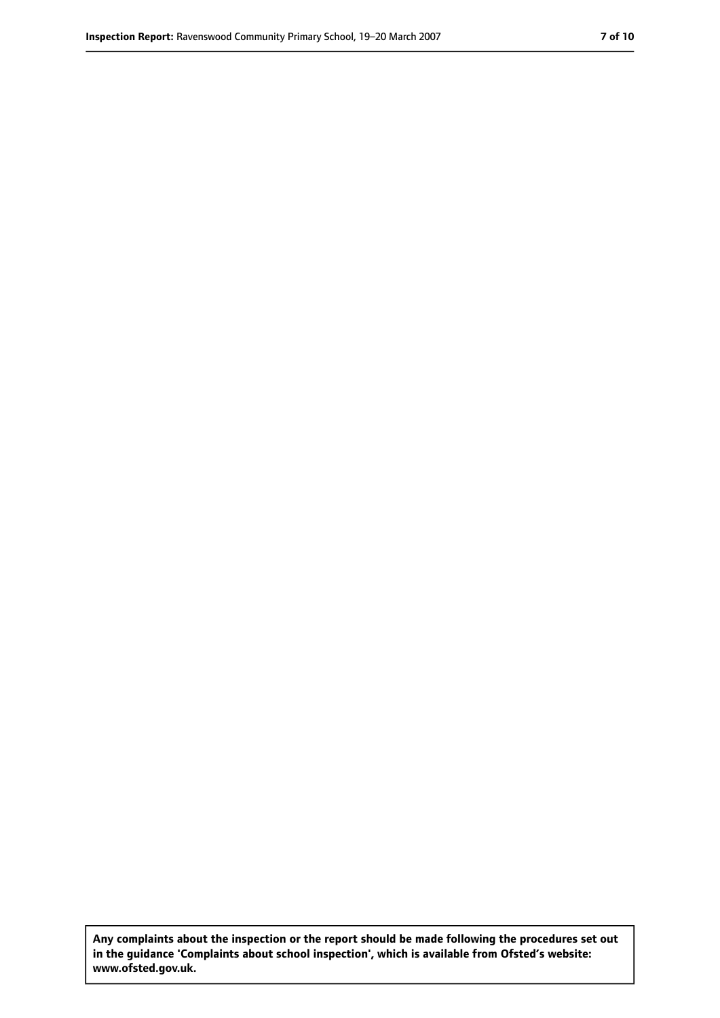**Any complaints about the inspection or the report should be made following the procedures set out in the guidance 'Complaints about school inspection', which is available from Ofsted's website: www.ofsted.gov.uk.**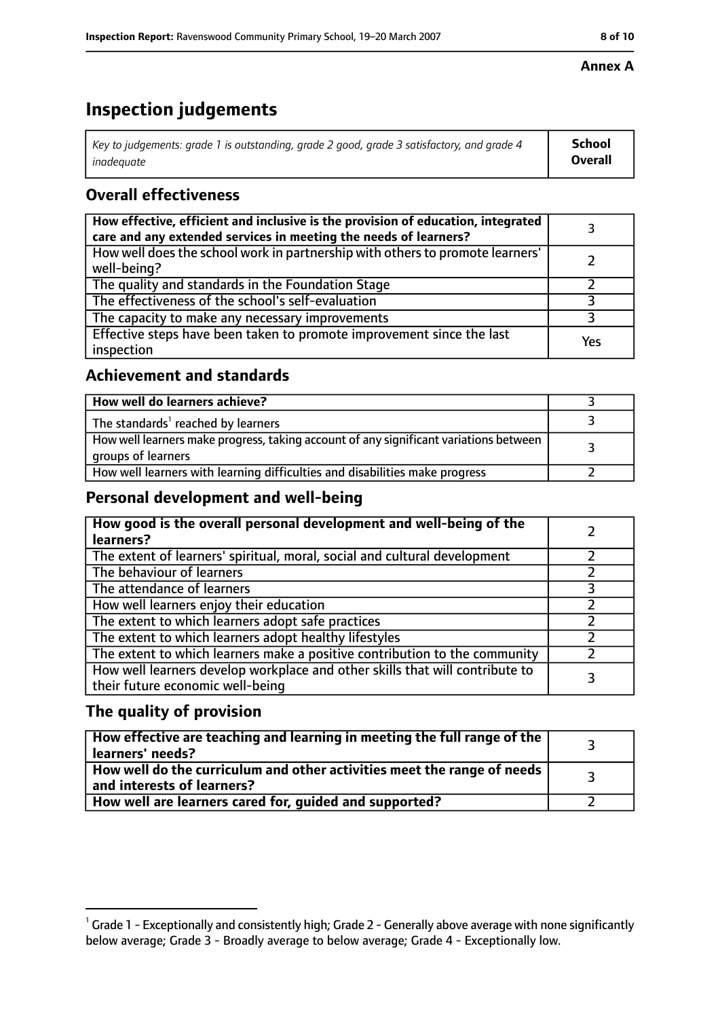#### **Annex A**

# **Inspection judgements**

| Key to judgements: grade 1 is outstanding, grade 2 good, grade 3 satisfactory, and grade 4 | <b>School</b>  |
|--------------------------------------------------------------------------------------------|----------------|
| inadequate                                                                                 | <b>Overall</b> |

# **Overall effectiveness**

| How effective, efficient and inclusive is the provision of education, integrated<br>care and any extended services in meeting the needs of learners? |     |
|------------------------------------------------------------------------------------------------------------------------------------------------------|-----|
| How well does the school work in partnership with others to promote learners'<br>well-being?                                                         |     |
| The quality and standards in the Foundation Stage                                                                                                    |     |
| The effectiveness of the school's self-evaluation                                                                                                    |     |
| The capacity to make any necessary improvements                                                                                                      |     |
| Effective steps have been taken to promote improvement since the last<br>inspection                                                                  | Yes |

## **Achievement and standards**

| How well do learners achieve?                                                                               |  |
|-------------------------------------------------------------------------------------------------------------|--|
| The standards <sup>1</sup> reached by learners                                                              |  |
| How well learners make progress, taking account of any significant variations between<br>groups of learners |  |
| How well learners with learning difficulties and disabilities make progress                                 |  |

# **Personal development and well-being**

| How good is the overall personal development and well-being of the<br>learners?                                  |  |
|------------------------------------------------------------------------------------------------------------------|--|
| The extent of learners' spiritual, moral, social and cultural development                                        |  |
| The behaviour of learners                                                                                        |  |
| The attendance of learners                                                                                       |  |
| How well learners enjoy their education                                                                          |  |
| The extent to which learners adopt safe practices                                                                |  |
| The extent to which learners adopt healthy lifestyles                                                            |  |
| The extent to which learners make a positive contribution to the community                                       |  |
| How well learners develop workplace and other skills that will contribute to<br>their future economic well-being |  |

# **The quality of provision**

| How effective are teaching and learning in meeting the full range of the<br>learners' needs?          |  |
|-------------------------------------------------------------------------------------------------------|--|
| How well do the curriculum and other activities meet the range of needs<br>and interests of learners? |  |
| How well are learners cared for, quided and supported?                                                |  |

 $^1$  Grade 1 - Exceptionally and consistently high; Grade 2 - Generally above average with none significantly below average; Grade 3 - Broadly average to below average; Grade 4 - Exceptionally low.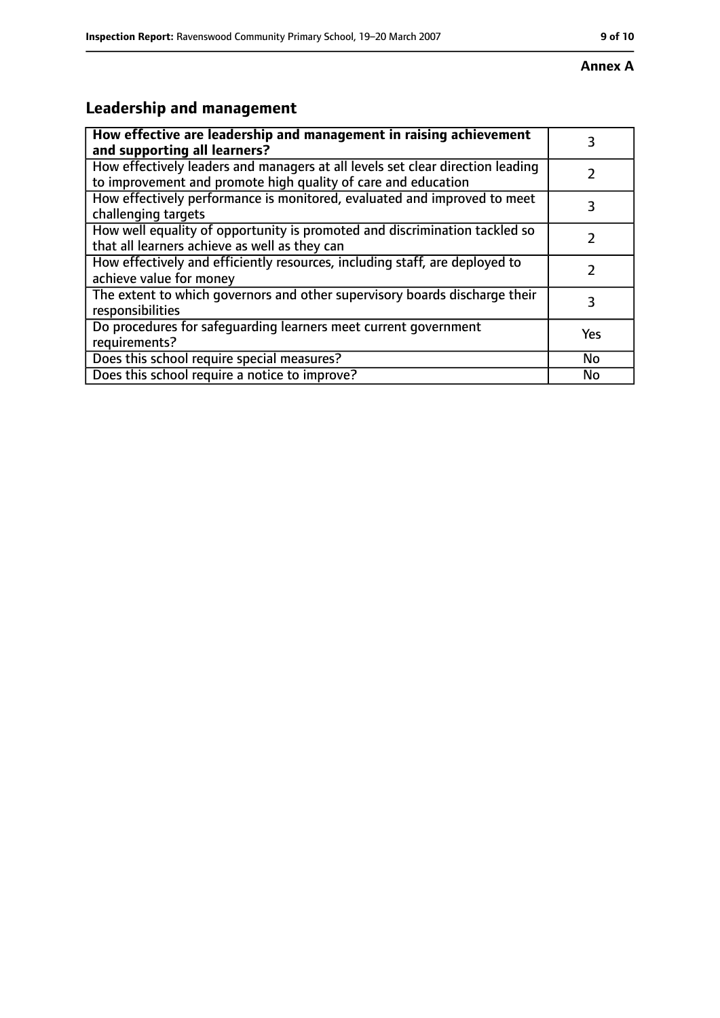#### **Annex A**

# **Leadership and management**

| How effective are leadership and management in raising achievement<br>and supporting all learners?                                              | 3   |
|-------------------------------------------------------------------------------------------------------------------------------------------------|-----|
| How effectively leaders and managers at all levels set clear direction leading<br>to improvement and promote high quality of care and education |     |
| How effectively performance is monitored, evaluated and improved to meet<br>challenging targets                                                 |     |
| How well equality of opportunity is promoted and discrimination tackled so<br>that all learners achieve as well as they can                     |     |
| How effectively and efficiently resources, including staff, are deployed to<br>achieve value for money                                          |     |
| The extent to which governors and other supervisory boards discharge their<br>responsibilities                                                  | 3   |
| Do procedures for safequarding learners meet current government<br>requirements?                                                                | Yes |
| Does this school require special measures?                                                                                                      | No  |
| Does this school require a notice to improve?                                                                                                   | No  |